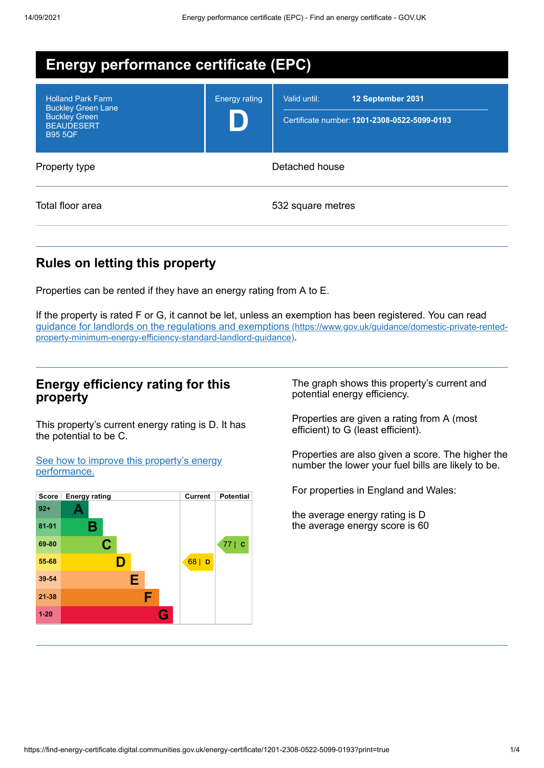| <b>Energy performance certificate (EPC)</b>                                                                          |                      |                                                                                   |  |  |
|----------------------------------------------------------------------------------------------------------------------|----------------------|-----------------------------------------------------------------------------------|--|--|
| <b>Holland Park Farm</b><br><b>Buckley Green Lane</b><br><b>Buckley Green</b><br><b>BEAUDESERT</b><br><b>B95 5QF</b> | <b>Energy rating</b> | Valid until:<br>12 September 2031<br>Certificate number: 1201-2308-0522-5099-0193 |  |  |
| Property type                                                                                                        | Detached house       |                                                                                   |  |  |
| Total floor area                                                                                                     |                      | 532 square metres                                                                 |  |  |

# **Rules on letting this property**

Properties can be rented if they have an energy rating from A to E.

If the property is rated F or G, it cannot be let, unless an exemption has been registered. You can read guidance for landlords on the regulations and exemptions (https://www.gov.uk/guidance/domestic-private-rented[property-minimum-energy-efficiency-standard-landlord-guidance\)](https://www.gov.uk/guidance/domestic-private-rented-property-minimum-energy-efficiency-standard-landlord-guidance).

### **Energy efficiency rating for this property**

This property's current energy rating is D. It has the potential to be C.

See how to improve this property's energy [performance.](#page-2-0)



The graph shows this property's current and potential energy efficiency.

Properties are given a rating from A (most efficient) to G (least efficient).

Properties are also given a score. The higher the number the lower your fuel bills are likely to be.

For properties in England and Wales:

the average energy rating is D the average energy score is 60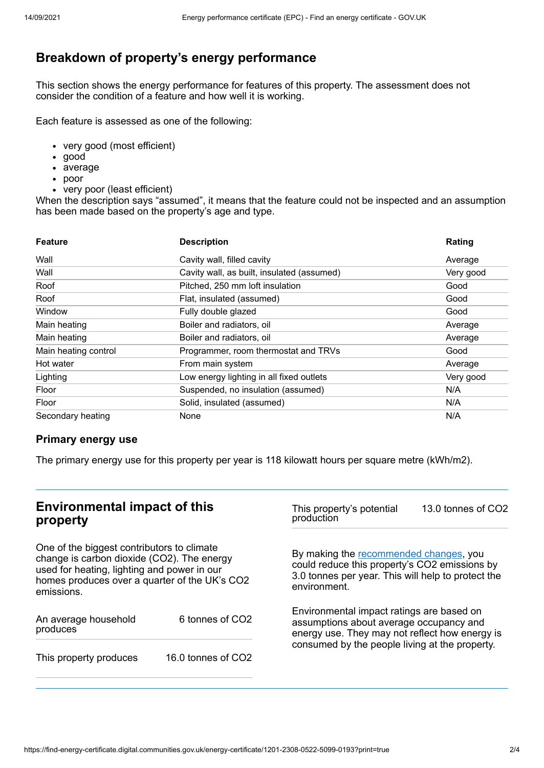# **Breakdown of property's energy performance**

This section shows the energy performance for features of this property. The assessment does not consider the condition of a feature and how well it is working.

Each feature is assessed as one of the following:

- very good (most efficient)
- good
- average
- poor
- very poor (least efficient)

When the description says "assumed", it means that the feature could not be inspected and an assumption has been made based on the property's age and type.

| <b>Feature</b>       | <b>Description</b>                         | Rating    |
|----------------------|--------------------------------------------|-----------|
| Wall                 | Cavity wall, filled cavity                 | Average   |
| Wall                 | Cavity wall, as built, insulated (assumed) | Very good |
| Roof                 | Pitched, 250 mm loft insulation            | Good      |
| Roof                 | Flat, insulated (assumed)                  | Good      |
| Window               | Fully double glazed                        | Good      |
| Main heating         | Boiler and radiators, oil                  | Average   |
| Main heating         | Boiler and radiators, oil                  | Average   |
| Main heating control | Programmer, room thermostat and TRVs       | Good      |
| Hot water            | From main system                           | Average   |
| Lighting             | Low energy lighting in all fixed outlets   | Very good |
| Floor                | Suspended, no insulation (assumed)         | N/A       |
| Floor                | Solid, insulated (assumed)                 | N/A       |
| Secondary heating    | None                                       | N/A       |

### **Primary energy use**

The primary energy use for this property per year is 118 kilowatt hours per square metre (kWh/m2).

# **Environmental impact of this property**

One of the biggest contributors to climate change is carbon dioxide (CO2). The energy used for heating, lighting and power in our homes produces over a quarter of the UK's CO2 emissions.

| An average household<br>produces | 6 tonnes of CO2    |  |
|----------------------------------|--------------------|--|
| This property produces           | 16.0 tonnes of CO2 |  |

This property's potential production 13.0 tonnes of CO2

By making the [recommended](#page-2-0) changes, you could reduce this property's CO2 emissions by 3.0 tonnes per year. This will help to protect the environment.

Environmental impact ratings are based on assumptions about average occupancy and energy use. They may not reflect how energy is consumed by the people living at the property.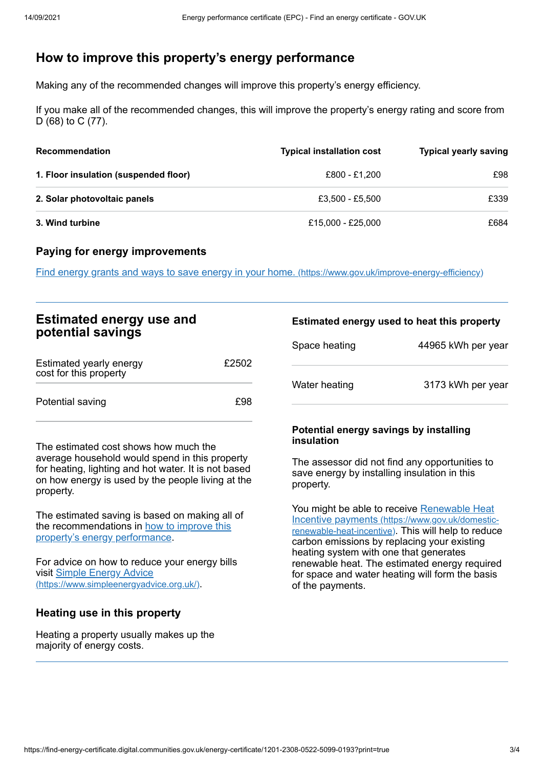# <span id="page-2-0"></span>**How to improve this property's energy performance**

Making any of the recommended changes will improve this property's energy efficiency.

If you make all of the recommended changes, this will improve the property's energy rating and score from D (68) to C (77).

| <b>Recommendation</b>                 | <b>Typical installation cost</b> | <b>Typical yearly saving</b> |
|---------------------------------------|----------------------------------|------------------------------|
| 1. Floor insulation (suspended floor) | £800 - £1.200                    | £98                          |
| 2. Solar photovoltaic panels          | £3.500 - £5.500                  | £339                         |
| 3. Wind turbine                       | £15,000 - £25,000                | £684                         |

#### **Paying for energy improvements**

Find energy grants and ways to save energy in your home. [\(https://www.gov.uk/improve-energy-efficiency\)](https://www.gov.uk/improve-energy-efficiency)

## **Estimated energy use and potential savings**

| Estimated yearly energy<br>cost for this property | £2502      |
|---------------------------------------------------|------------|
| Potential saving                                  | <b>£98</b> |

The estimated cost shows how much the average household would spend in this property for heating, lighting and hot water. It is not based on how energy is used by the people living at the property.

The estimated saving is based on making all of the [recommendations](#page-2-0) in how to improve this property's energy performance.

For advice on how to reduce your energy bills visit Simple Energy Advice [\(https://www.simpleenergyadvice.org.uk/\)](https://www.simpleenergyadvice.org.uk/).

#### **Heating use in this property**

Heating a property usually makes up the majority of energy costs.

#### **Estimated energy used to heat this property**

| Space heating | 44965 kWh per year |
|---------------|--------------------|
| Water heating | 3173 kWh per year  |

#### **Potential energy savings by installing insulation**

The assessor did not find any opportunities to save energy by installing insulation in this property.

You might be able to receive Renewable Heat Incentive payments [\(https://www.gov.uk/domestic](https://www.gov.uk/domestic-renewable-heat-incentive)renewable-heat-incentive). This will help to reduce carbon emissions by replacing your existing heating system with one that generates renewable heat. The estimated energy required for space and water heating will form the basis of the payments.